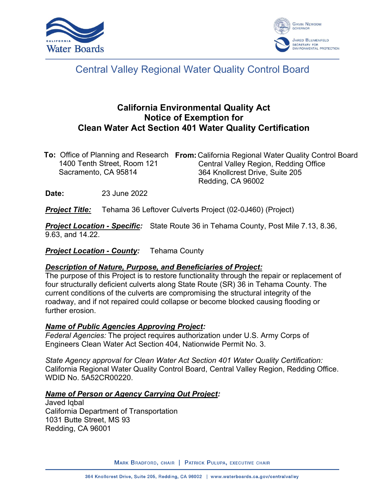



# Central Valley Regional Water Quality Control Board

# **California Environmental Quality Act Notice of Exemption for Clean Water Act Section 401 Water Quality Certification**

|                             | <b>To:</b> Office of Planning and Research From: California Regional Water Quality Control Board |
|-----------------------------|--------------------------------------------------------------------------------------------------|
| 1400 Tenth Street, Room 121 | Central Valley Region, Redding Office                                                            |
| Sacramento, CA 95814        | 364 Knollcrest Drive, Suite 205                                                                  |
|                             | Redding, CA 96002                                                                                |

**Date:** 23 June 2022

*Project Title:* Tehama 36 Leftover Culverts Project (02-0J460) (Project)

*Project Location - Specific:* State Route 36 in Tehama County, Post Mile 7.13, 8.36, 9.63, and 14.22.

*Project Location - County:* Tehama County

#### *Description of Nature, Purpose, and Beneficiaries of Project:*

The purpose of this Project is to restore functionality through the repair or replacement of four structurally deficient culverts along State Route (SR) 36 in Tehama County. The current conditions of the culverts are compromising the structural integrity of the roadway, and if not repaired could collapse or become blocked causing flooding or further erosion.

#### *Name of Public Agencies Approving Project:*

*Federal Agencies:* The project requires authorization under U.S. Army Corps of Engineers Clean Water Act Section 404, Nationwide Permit No. 3.

*State Agency approval for Clean Water Act Section 401 Water Quality Certification:* California Regional Water Quality Control Board, Central Valley Region, Redding Office. WDID No. 5A52CR00220.

#### *Name of Person or Agency Carrying Out Project:*

Javed Iqbal California Department of Transportation 1031 Butte Street, MS 93 Redding, CA 96001

MARK BRADFORD, CHAIR | PATRICK PULUPA, EXECUTIVE CHAIR